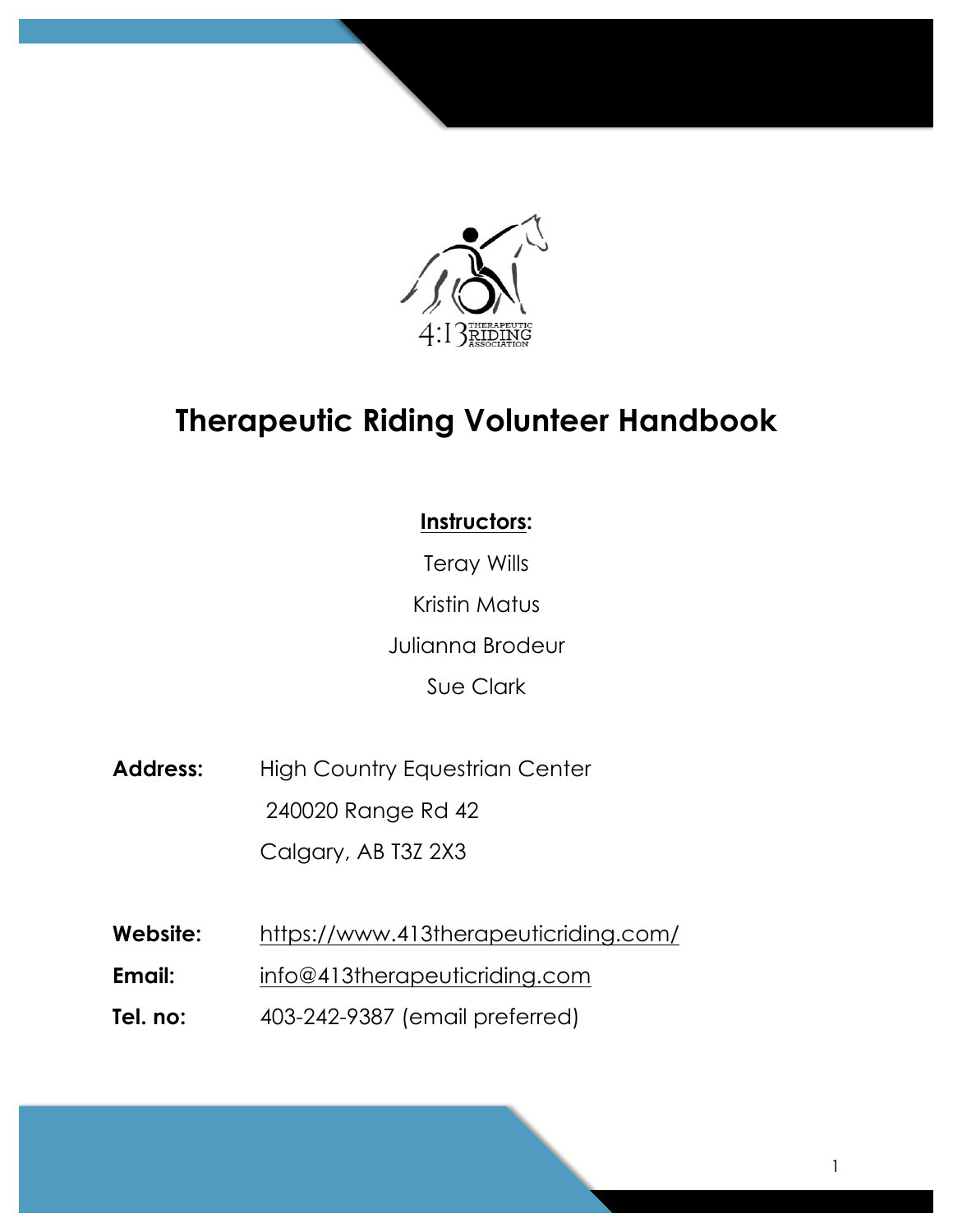

# **Therapeutic Riding Volunteer Handbook**

# **Instructors:**

Teray Wills Kristin Matus Julianna Brodeur Sue Clark

- Address: High Country Equestrian Center 240020 Range Rd 42 Calgary, AB T3Z 2X3
- **Website:** https://www.413therapeuticriding.com/
- **Email:** info@413therapeuticriding.com
- **Tel. no:** 403-242-9387 (email preferred)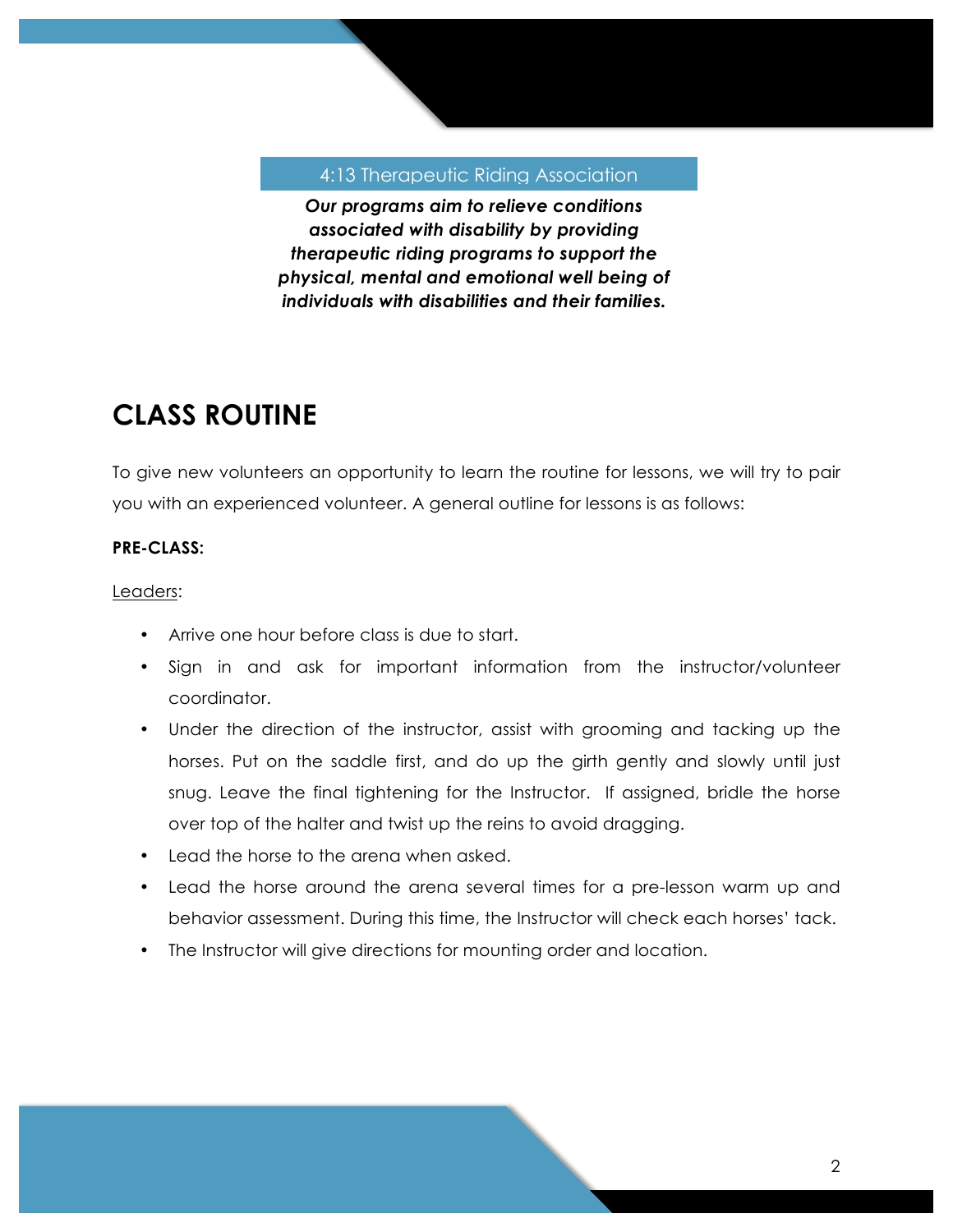### 4:13 Therapeutic Riding Association

*Our programs aim to relieve conditions associated with disability by providing therapeutic riding programs to support the physical, mental and emotional well being of individuals with disabilities and their families.*

# **CLASS ROUTINE**

To give new volunteers an opportunity to learn the routine for lessons, we will try to pair you with an experienced volunteer. A general outline for lessons is as follows:

# **PRE-CLASS:**

Leaders:

- Arrive one hour before class is due to start.
- Sign in and ask for important information from the instructor/volunteer coordinator.
- Under the direction of the instructor, assist with grooming and tacking up the horses. Put on the saddle first, and do up the girth gently and slowly until just snug. Leave the final tightening for the Instructor. If assigned, bridle the horse over top of the halter and twist up the reins to avoid dragging.
- Lead the horse to the arena when asked.
- Lead the horse around the arena several times for a pre-lesson warm up and behavior assessment. During this time, the Instructor will check each horses' tack.
- The Instructor will give directions for mounting order and location.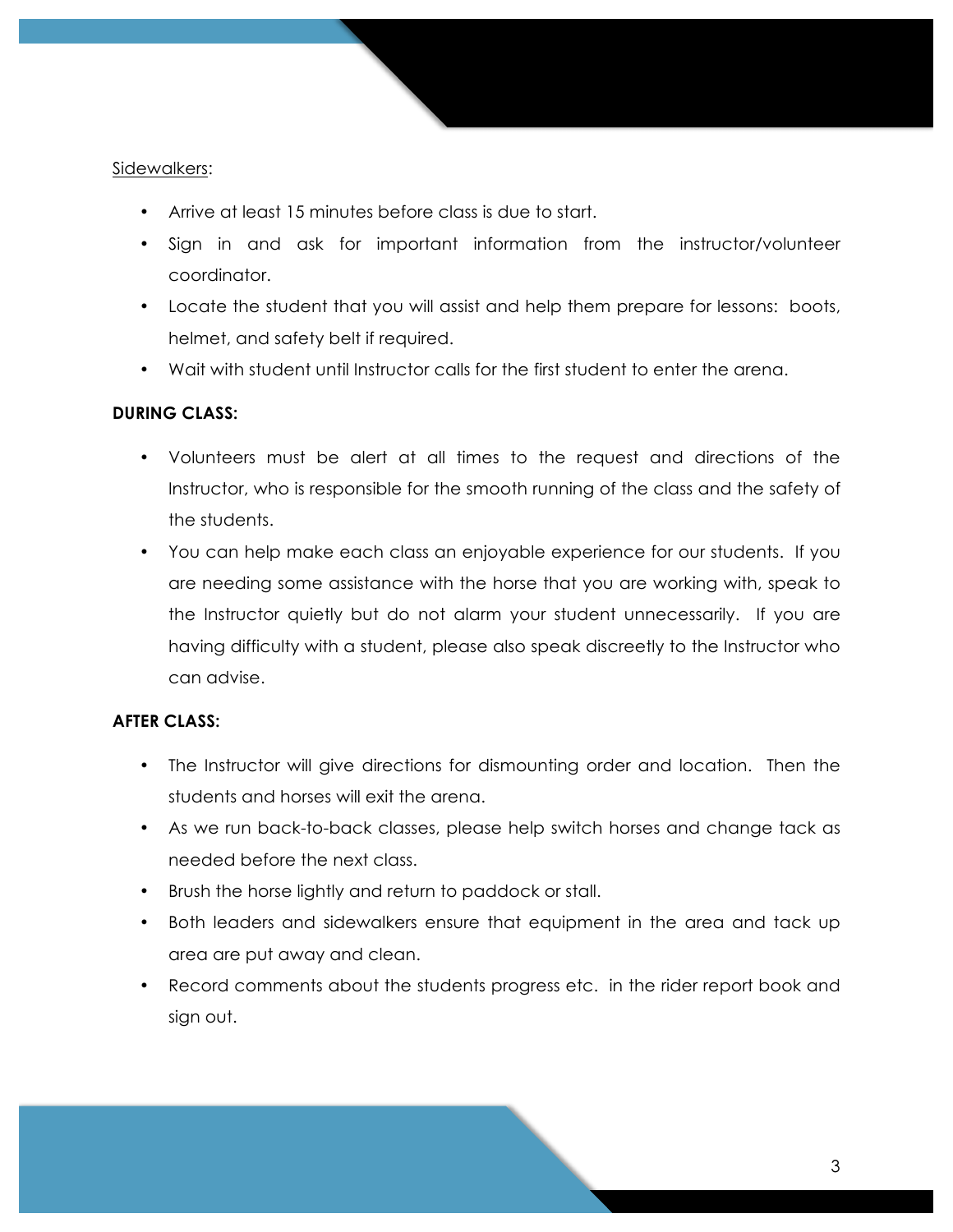### Sidewalkers:

- Arrive at least 15 minutes before class is due to start.
- Sign in and ask for important information from the instructor/volunteer coordinator.
- Locate the student that you will assist and help them prepare for lessons: boots, helmet, and safety belt if required.
- Wait with student until Instructor calls for the first student to enter the arena.

### **DURING CLASS:**

- Volunteers must be alert at all times to the request and directions of the Instructor, who is responsible for the smooth running of the class and the safety of the students.
- You can help make each class an enjoyable experience for our students. If you are needing some assistance with the horse that you are working with, speak to the Instructor quietly but do not alarm your student unnecessarily. If you are having difficulty with a student, please also speak discreetly to the Instructor who can advise.

## **AFTER CLASS:**

- The Instructor will give directions for dismounting order and location. Then the students and horses will exit the arena.
- As we run back-to-back classes, please help switch horses and change tack as needed before the next class.
- Brush the horse lightly and return to paddock or stall.
- Both leaders and sidewalkers ensure that equipment in the area and tack up area are put away and clean.
- Record comments about the students progress etc. in the rider report book and sign out.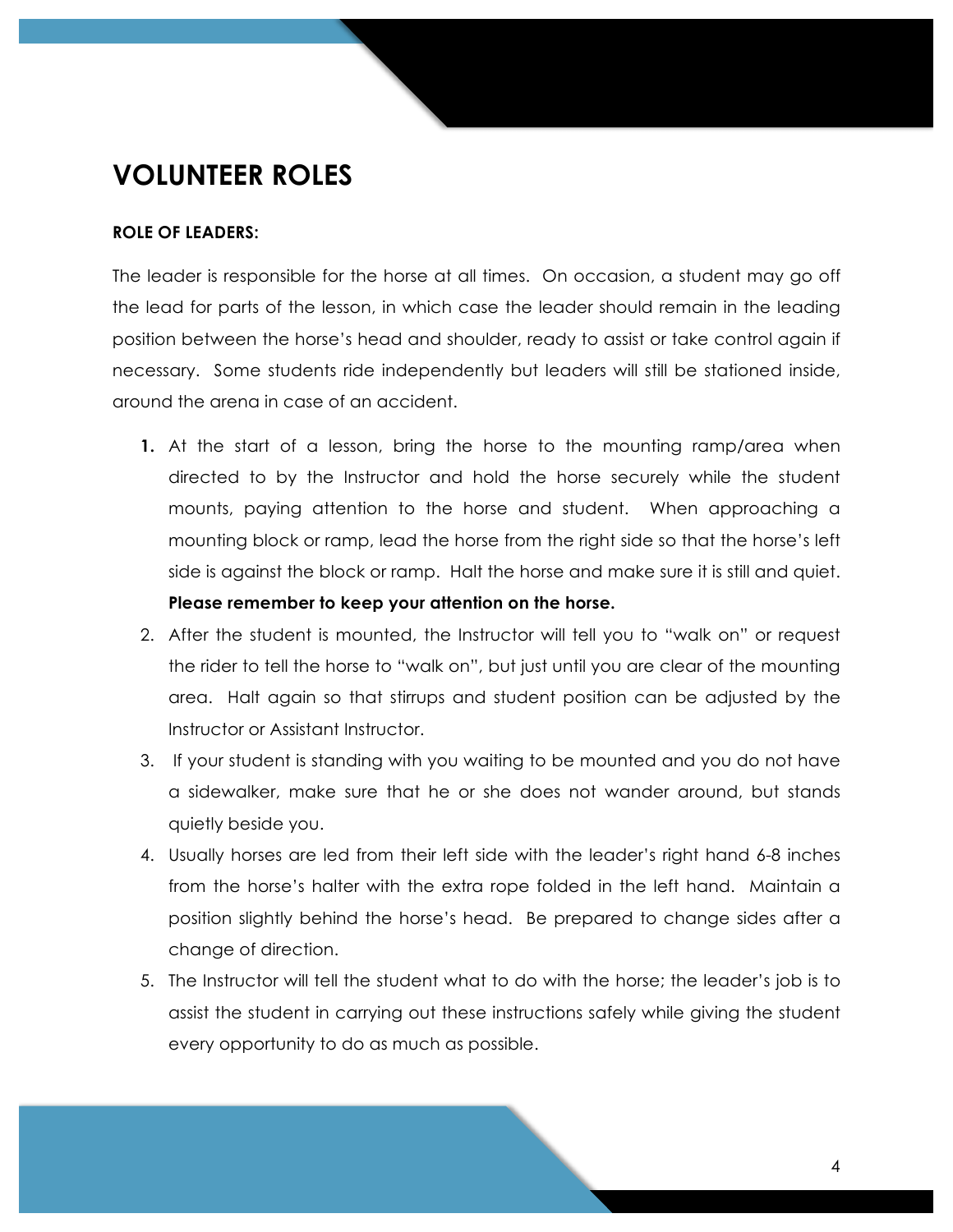# **VOLUNTEER ROLES**

### **ROLE OF LEADERS:**

The leader is responsible for the horse at all times. On occasion, a student may go off the lead for parts of the lesson, in which case the leader should remain in the leading position between the horse's head and shoulder, ready to assist or take control again if necessary. Some students ride independently but leaders will still be stationed inside, around the arena in case of an accident.

- **1.** At the start of a lesson, bring the horse to the mounting ramp/area when directed to by the Instructor and hold the horse securely while the student mounts, paying attention to the horse and student. When approaching a mounting block or ramp, lead the horse from the right side so that the horse's left side is against the block or ramp. Halt the horse and make sure it is still and quiet. **Please remember to keep your attention on the horse.**
- 2. After the student is mounted, the Instructor will tell you to "walk on" or request the rider to tell the horse to "walk on", but just until you are clear of the mounting area. Halt again so that stirrups and student position can be adjusted by the Instructor or Assistant Instructor.
- 3. If your student is standing with you waiting to be mounted and you do not have a sidewalker, make sure that he or she does not wander around, but stands quietly beside you.
- 4. Usually horses are led from their left side with the leader's right hand 6-8 inches from the horse's halter with the extra rope folded in the left hand. Maintain a position slightly behind the horse's head. Be prepared to change sides after a change of direction.
- 5. The Instructor will tell the student what to do with the horse; the leader's job is to assist the student in carrying out these instructions safely while giving the student every opportunity to do as much as possible.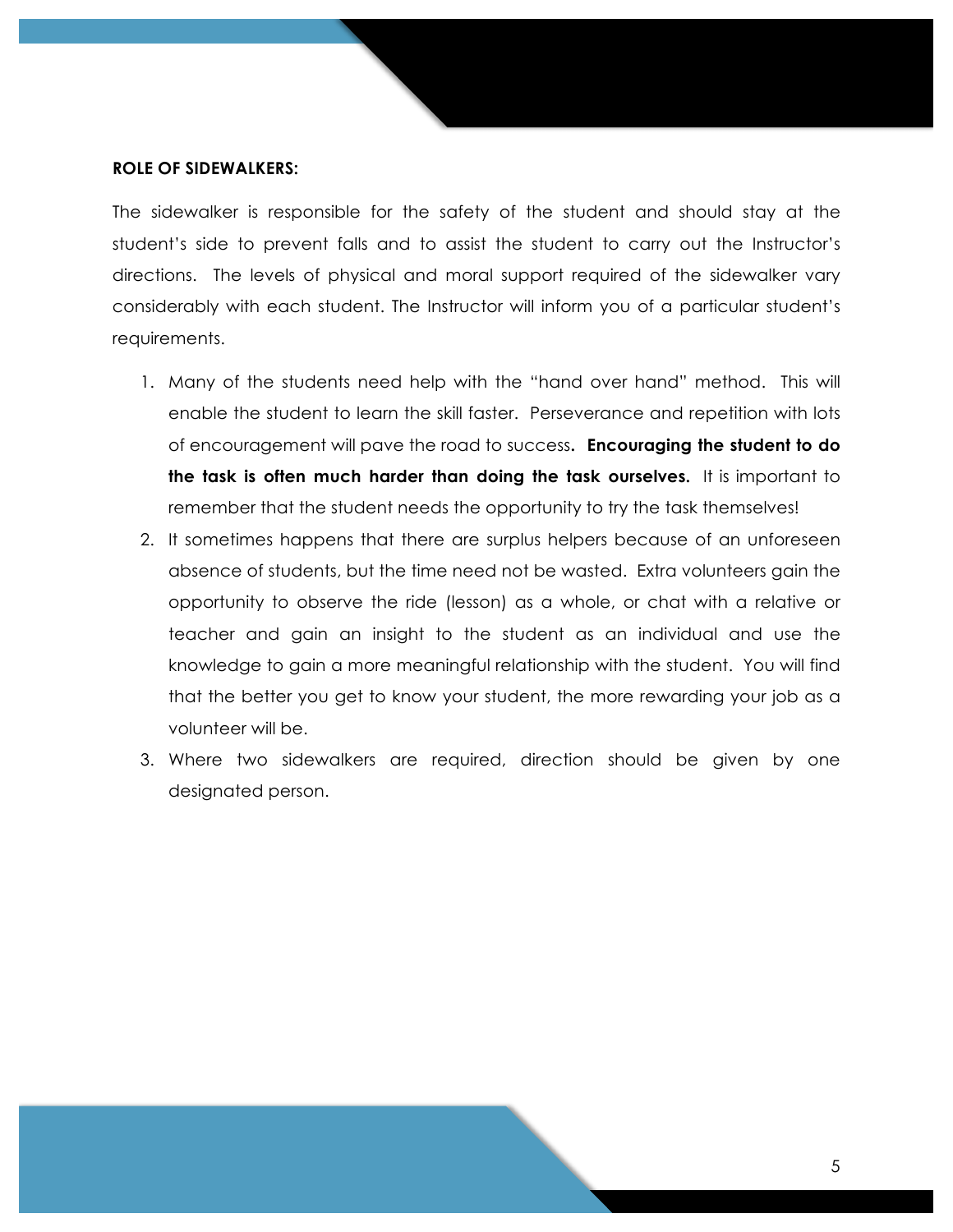#### **ROLE OF SIDEWALKERS:**

The sidewalker is responsible for the safety of the student and should stay at the student's side to prevent falls and to assist the student to carry out the Instructor's directions. The levels of physical and moral support required of the sidewalker vary considerably with each student. The Instructor will inform you of a particular student's requirements.

- 1. Many of the students need help with the "hand over hand" method. This will enable the student to learn the skill faster. Perseverance and repetition with lots of encouragement will pave the road to success**. Encouraging the student to do the task is often much harder than doing the task ourselves.** It is important to remember that the student needs the opportunity to try the task themselves!
- 2. It sometimes happens that there are surplus helpers because of an unforeseen absence of students, but the time need not be wasted. Extra volunteers gain the opportunity to observe the ride (lesson) as a whole, or chat with a relative or teacher and gain an insight to the student as an individual and use the knowledge to gain a more meaningful relationship with the student. You will find that the better you get to know your student, the more rewarding your job as a volunteer will be.
- 3. Where two sidewalkers are required, direction should be given by one designated person.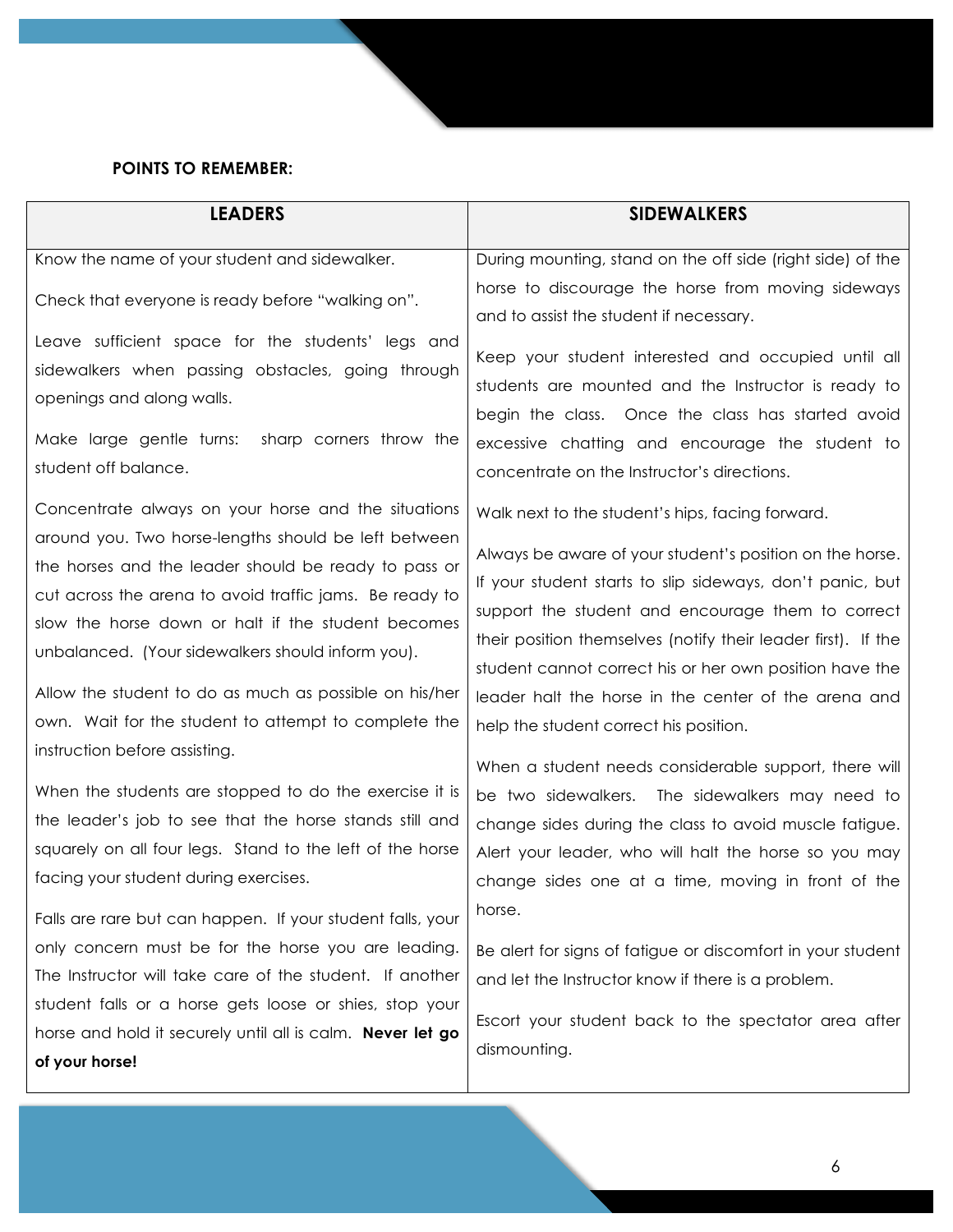# **POINTS TO REMEMBER:**

| <b>LEADERS</b>                                                                                                                                                                                                                                                                                                                                                                                                                                                                                                                                             | <b>SIDEWALKERS</b>                                                                                                                                                                                                                                                                                                                                                                                                                                                                                                                                                                                            |
|------------------------------------------------------------------------------------------------------------------------------------------------------------------------------------------------------------------------------------------------------------------------------------------------------------------------------------------------------------------------------------------------------------------------------------------------------------------------------------------------------------------------------------------------------------|---------------------------------------------------------------------------------------------------------------------------------------------------------------------------------------------------------------------------------------------------------------------------------------------------------------------------------------------------------------------------------------------------------------------------------------------------------------------------------------------------------------------------------------------------------------------------------------------------------------|
| Know the name of your student and sidewalker.<br>Check that everyone is ready before "walking on".<br>Leave sufficient space for the students' legs and<br>sidewalkers when passing obstacles, going through<br>openings and along walls.<br>Make large gentle turns:<br>sharp corners throw the<br>student off balance.<br>Concentrate always on your horse and the situations<br>around you. Two horse-lengths should be left between<br>the horses and the leader should be ready to pass or<br>cut across the arena to avoid traffic jams. Be ready to | During mounting, stand on the off side (right side) of the<br>horse to discourage the horse from moving sideways<br>and to assist the student if necessary.<br>Keep your student interested and occupied until all<br>students are mounted and the Instructor is ready to<br>begin the class. Once the class has started avoid<br>excessive chatting and encourage the student to<br>concentrate on the Instructor's directions.<br>Walk next to the student's hips, facing forward.<br>Always be aware of your student's position on the horse.<br>If your student starts to slip sideways, don't panic, but |
| slow the horse down or halt if the student becomes<br>unbalanced. (Your sidewalkers should inform you).<br>Allow the student to do as much as possible on his/her<br>own. Wait for the student to attempt to complete the                                                                                                                                                                                                                                                                                                                                  | support the student and encourage them to correct<br>their position themselves (notify their leader first). If the<br>student cannot correct his or her own position have the<br>leader halt the horse in the center of the arena and<br>help the student correct his position.                                                                                                                                                                                                                                                                                                                               |
| instruction before assisting.<br>When the students are stopped to do the exercise it is<br>the leader's job to see that the horse stands still and<br>squarely on all four legs. Stand to the left of the horse<br>facing your student during exercises.<br>Falls are rare but can happen. If your student falls, your                                                                                                                                                                                                                                     | When a student needs considerable support, there will<br>be two sidewalkers. The sidewalkers may need to<br>change sides during the class to avoid muscle fatigue.<br>Alert your leader, who will halt the horse so you may<br>change sides one at a time, moving in front of the<br>horse.                                                                                                                                                                                                                                                                                                                   |
| only concern must be for the horse you are leading.<br>The Instructor will take care of the student. If another<br>student falls or a horse gets loose or shies, stop your<br>horse and hold it securely until all is calm. Never let go<br>of your horse!                                                                                                                                                                                                                                                                                                 | Be alert for signs of fatigue or discomfort in your student<br>and let the Instructor know if there is a problem.<br>Escort your student back to the spectator area after<br>dismounting.                                                                                                                                                                                                                                                                                                                                                                                                                     |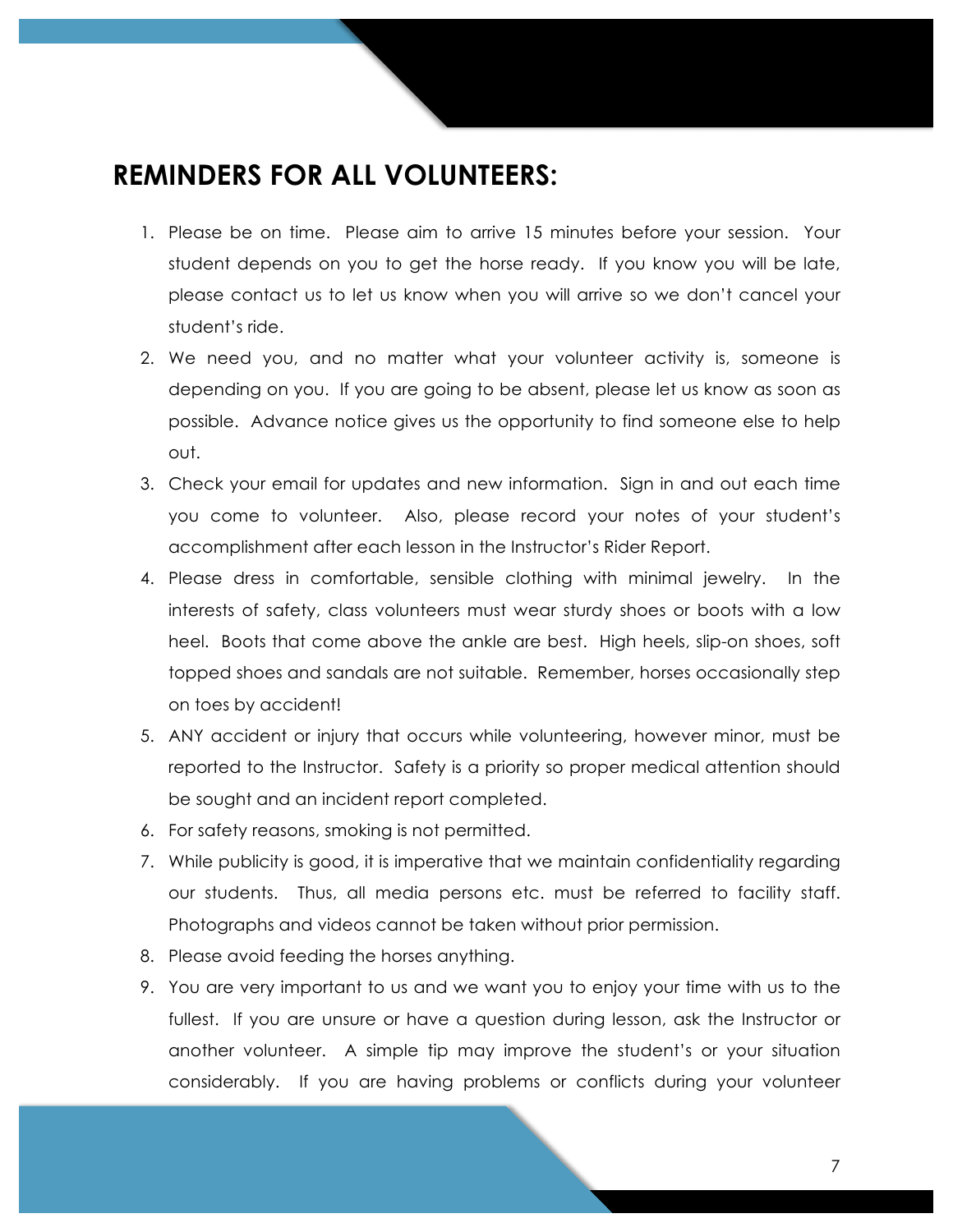# **REMINDERS FOR ALL VOLUNTEERS:**

- 1. Please be on time. Please aim to arrive 15 minutes before your session. Your student depends on you to get the horse ready. If you know you will be late, please contact us to let us know when you will arrive so we don't cancel your student's ride.
- 2. We need you, and no matter what your volunteer activity is, someone is depending on you. If you are going to be absent, please let us know as soon as possible. Advance notice gives us the opportunity to find someone else to help out.
- 3. Check your email for updates and new information. Sign in and out each time you come to volunteer. Also, please record your notes of your student's accomplishment after each lesson in the Instructor's Rider Report.
- 4. Please dress in comfortable, sensible clothing with minimal jewelry. In the interests of safety, class volunteers must wear sturdy shoes or boots with a low heel. Boots that come above the ankle are best. High heels, slip-on shoes, soft topped shoes and sandals are not suitable. Remember, horses occasionally step on toes by accident!
- 5. ANY accident or injury that occurs while volunteering, however minor, must be reported to the Instructor. Safety is a priority so proper medical attention should be sought and an incident report completed.
- 6. For safety reasons, smoking is not permitted.
- 7. While publicity is good, it is imperative that we maintain confidentiality regarding our students. Thus, all media persons etc. must be referred to facility staff. Photographs and videos cannot be taken without prior permission.
- 8. Please avoid feeding the horses anything.
- 9. You are very important to us and we want you to enjoy your time with us to the fullest. If you are unsure or have a question during lesson, ask the Instructor or another volunteer. A simple tip may improve the student's or your situation considerably. If you are having problems or conflicts during your volunteer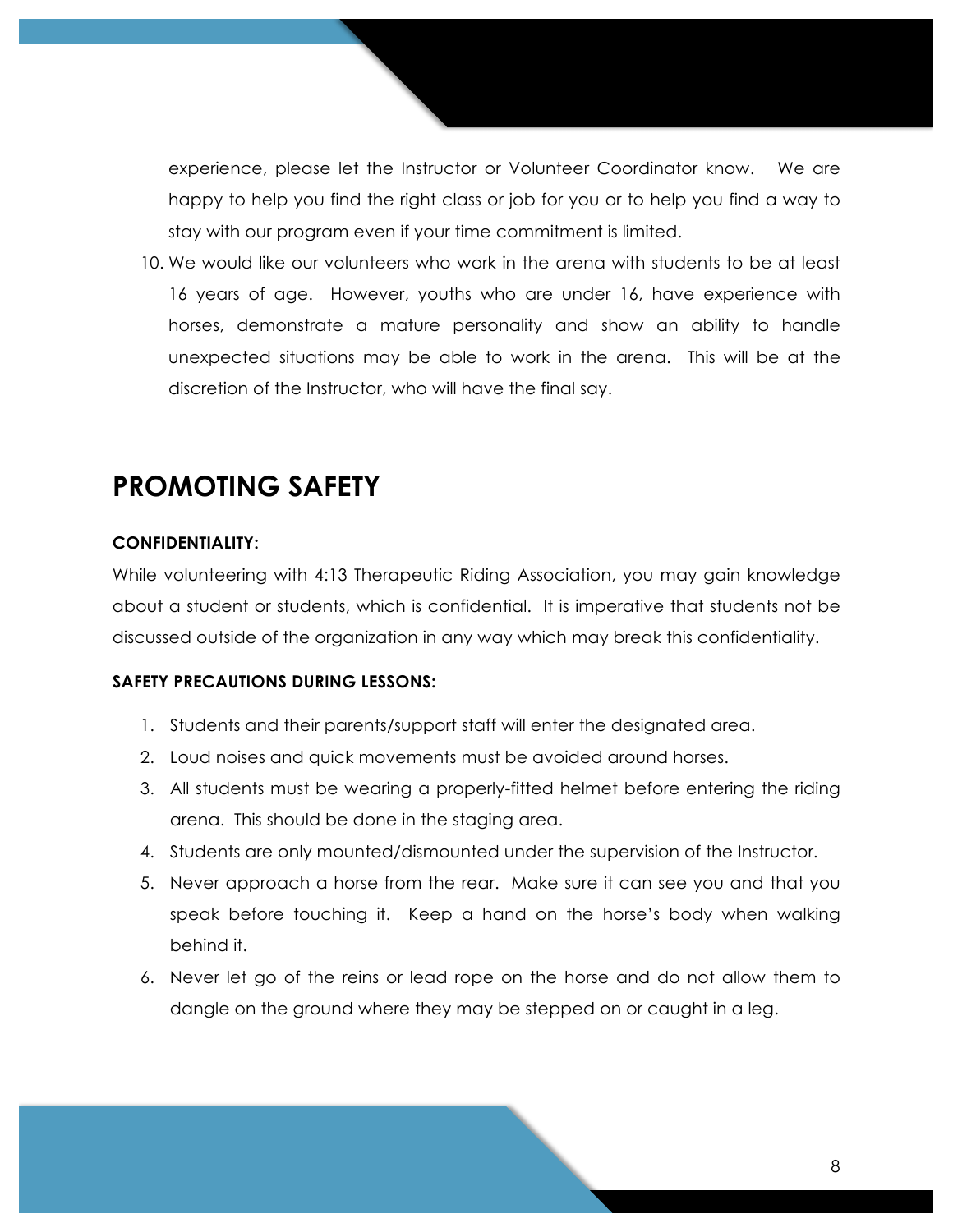experience, please let the Instructor or Volunteer Coordinator know. We are happy to help you find the right class or job for you or to help you find a way to stay with our program even if your time commitment is limited.

10. We would like our volunteers who work in the arena with students to be at least 16 years of age. However, youths who are under 16, have experience with horses, demonstrate a mature personality and show an ability to handle unexpected situations may be able to work in the arena. This will be at the discretion of the Instructor, who will have the final say.

# **PROMOTING SAFETY**

#### **CONFIDENTIALITY:**

While volunteering with 4:13 Therapeutic Riding Association, you may gain knowledge about a student or students, which is confidential. It is imperative that students not be discussed outside of the organization in any way which may break this confidentiality.

#### **SAFETY PRECAUTIONS DURING LESSONS:**

- 1. Students and their parents/support staff will enter the designated area.
- 2. Loud noises and quick movements must be avoided around horses.
- 3. All students must be wearing a properly-fitted helmet before entering the riding arena. This should be done in the staging area.
- 4. Students are only mounted/dismounted under the supervision of the Instructor.
- 5. Never approach a horse from the rear. Make sure it can see you and that you speak before touching it. Keep a hand on the horse's body when walking behind it.
- 6. Never let go of the reins or lead rope on the horse and do not allow them to dangle on the ground where they may be stepped on or caught in a leg.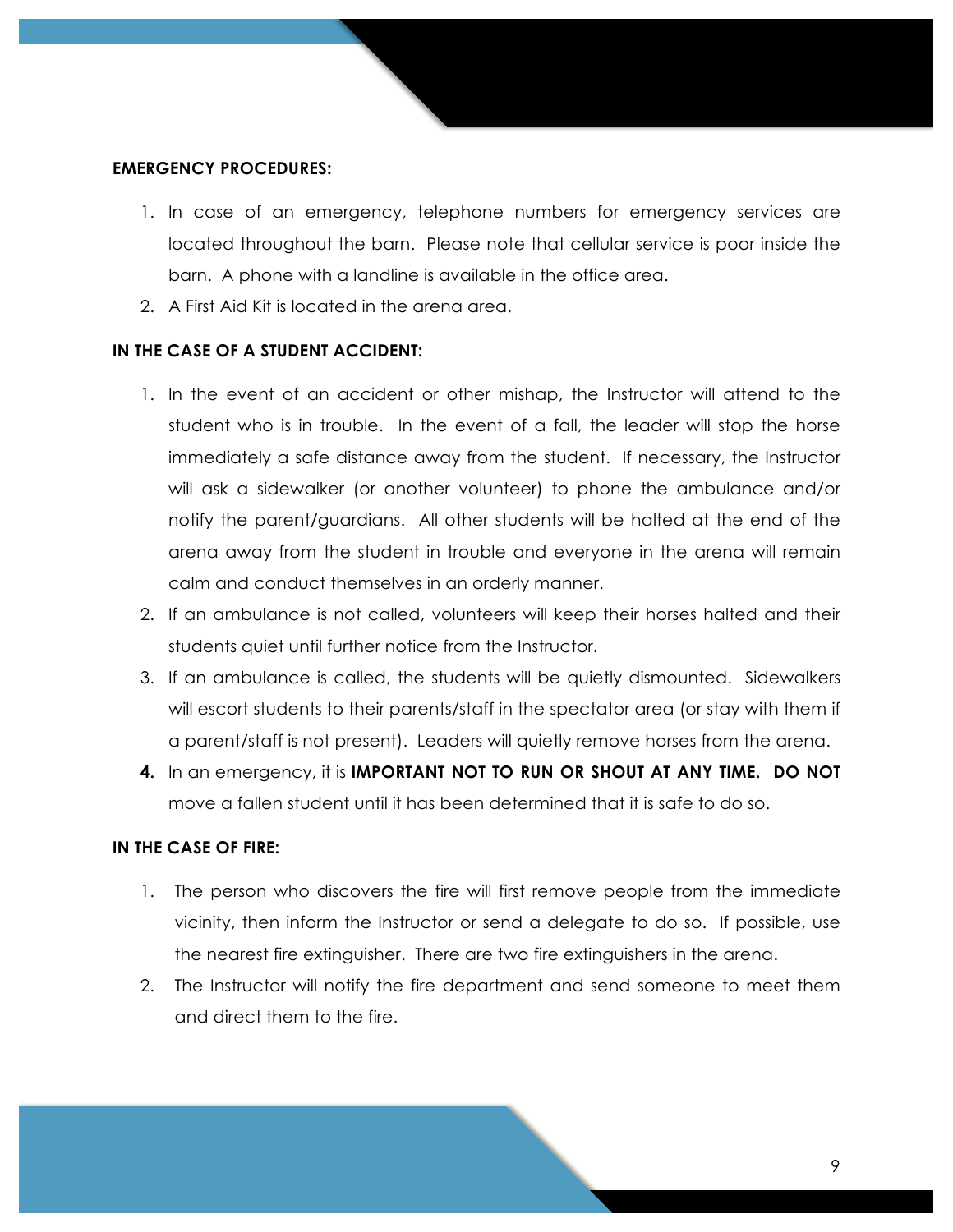#### **EMERGENCY PROCEDURES:**

- 1. In case of an emergency, telephone numbers for emergency services are located throughout the barn. Please note that cellular service is poor inside the barn. A phone with a landline is available in the office area.
- 2. A First Aid Kit is located in the arena area.

## **IN THE CASE OF A STUDENT ACCIDENT:**

- 1. In the event of an accident or other mishap, the Instructor will attend to the student who is in trouble. In the event of a fall, the leader will stop the horse immediately a safe distance away from the student. If necessary, the Instructor will ask a sidewalker (or another volunteer) to phone the ambulance and/or notify the parent/guardians. All other students will be halted at the end of the arena away from the student in trouble and everyone in the arena will remain calm and conduct themselves in an orderly manner.
- 2. If an ambulance is not called, volunteers will keep their horses halted and their students quiet until further notice from the Instructor.
- 3. If an ambulance is called, the students will be quietly dismounted. Sidewalkers will escort students to their parents/staff in the spectator area (or stay with them if a parent/staff is not present). Leaders will quietly remove horses from the arena.
- **4.** In an emergency, it is **IMPORTANT NOT TO RUN OR SHOUT AT ANY TIME. DO NOT**  move a fallen student until it has been determined that it is safe to do so.

### **IN THE CASE OF FIRE:**

- 1. The person who discovers the fire will first remove people from the immediate vicinity, then inform the Instructor or send a delegate to do so. If possible, use the nearest fire extinguisher. There are two fire extinguishers in the arena.
- 2. The Instructor will notify the fire department and send someone to meet them and direct them to the fire.